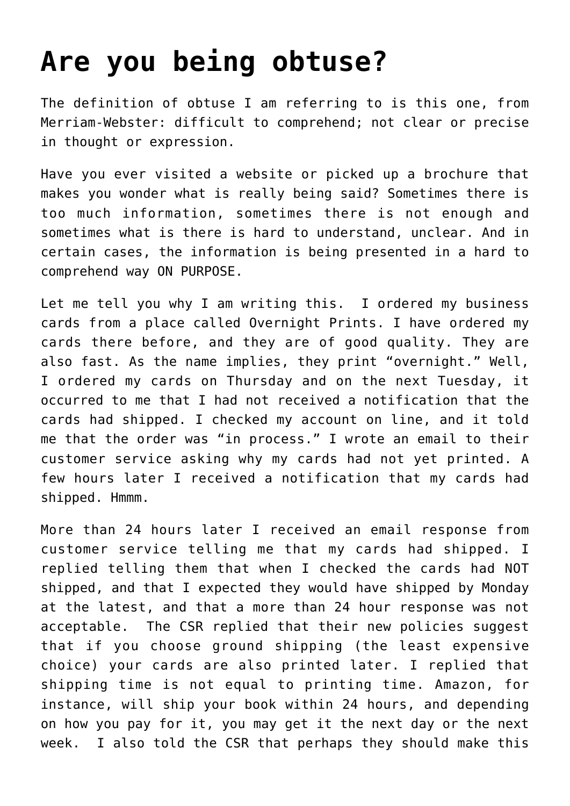## **[Are you being obtuse?](https://deborahbrody.com/2010/02/are-you-being-obtuse/)**

The definition of obtuse I am referring to is this one, from Merriam-Webster: difficult to comprehend; not clear or precise in thought or expression.

Have you ever visited a website or picked up a brochure that makes you wonder what is really being said? Sometimes there is too much information, sometimes there is not enough and sometimes what is there is hard to understand, unclear. And in certain cases, the information is being presented in a hard to comprehend way ON PURPOSE.

Let me tell you why I am writing this. I ordered my business cards from a place called Overnight Prints. I have ordered my cards there before, and they are of good quality. They are also fast. As the name implies, they print "overnight." Well, I ordered my cards on Thursday and on the next Tuesday, it occurred to me that I had not received a notification that the cards had shipped. I checked my account on line, and it told me that the order was "in process." I wrote an email to their customer service asking why my cards had not yet printed. A few hours later I received a notification that my cards had shipped. Hmmm.

More than 24 hours later I received an email response from customer service telling me that my cards had shipped. I replied telling them that when I checked the cards had NOT shipped, and that I expected they would have shipped by Monday at the latest, and that a more than 24 hour response was not acceptable. The CSR replied that their new policies suggest that if you choose ground shipping (the least expensive choice) your cards are also printed later. I replied that shipping time is not equal to printing time. Amazon, for instance, will ship your book within 24 hours, and depending on how you pay for it, you may get it the next day or the next week. I also told the CSR that perhaps they should make this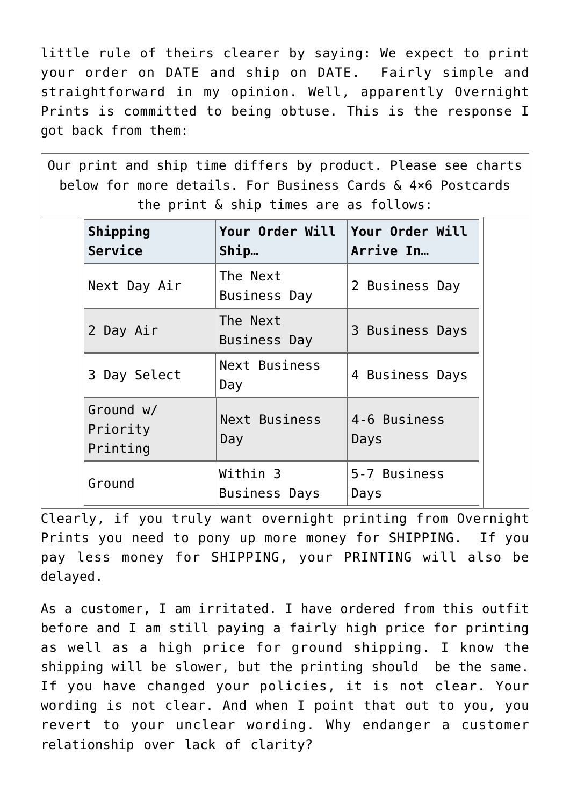little rule of theirs clearer by saying: We expect to print your order on DATE and ship on DATE. Fairly simple and straightforward in my opinion. Well, apparently Overnight Prints is committed to being obtuse. This is the response I got back from them:

Our print and ship time differs by product. Please see charts below for more details. For Business Cards & 4×6 Postcards the print & ship times are as follows: **Shipping Service Your Order Will Ship… Your Order Will Arrive In…** Next Day Air  $\begin{array}{|c|c|}\n\hline\n\text{Next Day Air} & \text{Business Dav}\n\end{array}$ Business Day 2 Business Day 2 Day Air  $\begin{array}{c} \text{The Next} \\ \text{Business Dav} \end{array}$ 3 Business Days 3 Day Select  $\begin{bmatrix} Next \quad Busines \end{bmatrix}$ Day 4 Business Days Ground w/ Priority Printing Next Business Day 4-6 Business Days Ground **Within 3** Business Days 5-7 Business Days

Clearly, if you truly want overnight printing from Overnight Prints you need to pony up more money for SHIPPING. If you pay less money for SHIPPING, your PRINTING will also be delayed.

As a customer, I am irritated. I have ordered from this outfit before and I am still paying a fairly high price for printing as well as a high price for ground shipping. I know the shipping will be slower, but the printing should be the same. If you have changed your policies, it is not clear. Your wording is not clear. And when I point that out to you, you revert to your unclear wording. Why endanger a customer relationship over lack of clarity?